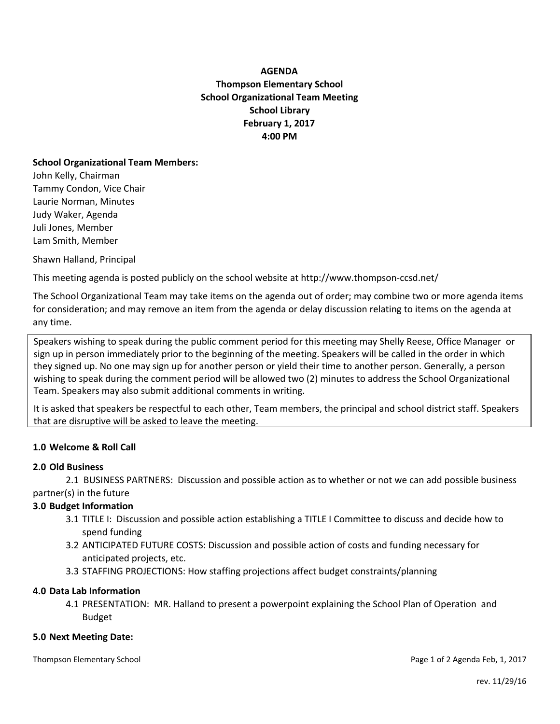# **AGENDA Thompson Elementary School School Organizational Team Meeting School Library February 1, 2017 4:00 PM**

### **School Organizational Team Members:**

John Kelly, Chairman Tammy Condon, Vice Chair Laurie Norman, Minutes Judy Waker, Agenda Juli Jones, Member Lam Smith, Member

Shawn Halland, Principal

This meeting agenda is posted publicly on the school website at http://www.thompson-ccsd.net/

The School Organizational Team may take items on the agenda out of order; may combine two or more agenda items for consideration; and may remove an item from the agenda or delay discussion relating to items on the agenda at any time.

Speakers wishing to speak during the public comment period for this meeting may Shelly Reese, Office Manager or sign up in person immediately prior to the beginning of the meeting. Speakers will be called in the order in which they signed up. No one may sign up for another person or yield their time to another person. Generally, a person wishing to speak during the comment period will be allowed two (2) minutes to address the School Organizational Team. Speakers may also submit additional comments in writing.

It is asked that speakers be respectful to each other, Team members, the principal and school district staff. Speakers that are disruptive will be asked to leave the meeting.

# **1.0 Welcome & Roll Call**

# **2.0 Old Business**

2.1 BUSINESS PARTNERS: Discussion and possible action as to whether or not we can add possible business partner(s) in the future

# **3.0 Budget Information**

- 3.1 TITLE I: Discussion and possible action establishing a TITLE I Committee to discuss and decide how to spend funding
- 3.2 ANTICIPATED FUTURE COSTS: Discussion and possible action of costs and funding necessary for anticipated projects, etc.
- 3.3 STAFFING PROJECTIONS: How staffing projections affect budget constraints/planning

### **4.0 Data Lab Information**

4.1 PRESENTATION: MR. Halland to present a powerpoint explaining the School Plan of Operation and Budget

### **5.0 Next Meeting Date:**

Thompson Elementary School **Page 1 of 2 Agenda Feb, 1, 2017** Page 1 of 2 Agenda Feb, 1, 2017